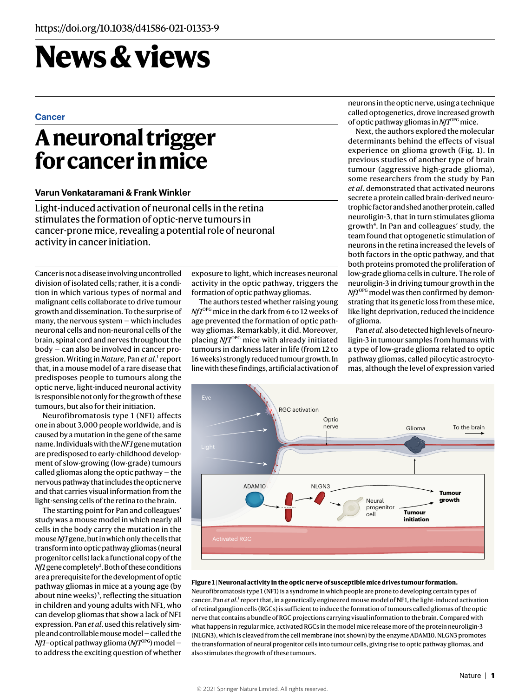# **News & views**

#### **Cancer**

## **A neuronal trigger for cancer in mice**

#### **Varun Venkataramani & Frank Winkler**

Light-induced activation of neuronal cells in the retina stimulates the formation of optic-nerve tumours in cancer-prone mice, revealing a potential role of neuronal activity in cancer initiation.

Cancer is not a disease involving uncontrolled division of isolated cells; rather, it is a condition in which various types of normal and malignant cells collaborate to drive tumour growth and dissemination. To the surprise of many, the nervous system — which includes neuronal cells and non-neuronal cells of the brain, spinal cord and nerves throughout the body — can also be involved in cancer progression. Writing in *Nature*, Pan et al.<sup>1</sup> report that, in a mouse model of a rare disease that predisposes people to tumours along the optic nerve, light-induced neuronal activity is responsible not only for the growth of these tumours, but also for their initiation.

Neurofibromatosis type 1 (NF1) affects one in about 3,000 people worldwide, and is caused by a mutation in the gene of the same name. Individuals with the *NF1* gene mutation are predisposed to early-childhood development of slow-growing (low-grade) tumours called gliomas along the optic pathway — the nervous pathway that includes the optic nerve and that carries visual information from the light-sensing cells of the retina to the brain.

The starting point for Pan and colleagues' study was a mouse model in which nearly all cells in the body carry the mutation in the mouse *Nf1* gene, but in which only the cells that transform into optic pathway gliomas (neural progenitor cells) lack a functional copy of the *Nf1* gene completely<sup>2</sup>. Both of these conditions are a prerequisite for the development of optic pathway gliomas in mice at a young age (by about nine weeks)<sup>3</sup>, reflecting the situation in children and young adults with NF1, who can develop gliomas that show a lack of NF1 expression. Pan *et al*. used this relatively simple and controllable mouse model — called the *Nf1*-optical pathway glioma (*Nf1*<sup>OPG</sup>) model to address the exciting question of whether

exposure to light, which increases neuronal activity in the optic pathway, triggers the formation of optic pathway gliomas.

The authors tested whether raising young *Nf1*<sup>OPG</sup> mice in the dark from 6 to 12 weeks of age prevented the formation of optic pathway gliomas. Remarkably, it did. Moreover, placing *Nf1*<sup>OPG</sup> mice with already initiated tumours in darkness later in life (from 12 to 16 weeks) strongly reduced tumour growth. In line with these findings, artificial activation of neurons in the optic nerve, using a technique called optogenetics, drove increased growth of optic pathway gliomas in *Nf1*OPG mice.

Next, the authors explored the molecular determinants behind the effects of visual experience on glioma growth (Fig. 1). In previous studies of another type of brain tumour (aggressive high-grade glioma), some researchers from the study by Pan *et al*. demonstrated that activated neurons secrete a protein called brain-derived neurotrophic factor and shed another protein, called neuroligin-3, that in turn stimulates glioma growth<sup>4</sup>. In Pan and colleagues' study, the team found that optogenetic stimulation of neurons in the retina increased the levels of both factors in the optic pathway, and that both proteins promoted the proliferation of low-grade glioma cells in culture. The role of neuroligin-3 in driving tumour growth in the *Nf1*<sup>OPG</sup> model was then confirmed by demonstrating that its genetic loss from these mice, like light deprivation, reduced the incidence of glioma.

Pan *et al*. also detected high levels of neuroligin-3 in tumour samples from humans with a type of low-grade glioma related to optic pathway gliomas, called pilocytic astrocytomas, although the level of expression varied



#### **Figure 1 | Neuronal activity in the optic nerve of susceptible mice drives tumour formation.**

Neurofibromatosis type 1 (NF1) is a syndrome in which people are prone to developing certain types of cancer. Pan *et al*.<sup>1</sup> report that, in a genetically engineered mouse model of NF1, the light-induced activation of retinal ganglion cells (RGCs) is sufficient to induce the formation of tumours called gliomas of the optic nerve that contains a bundle of RGC projections carrying visual information to the brain. Compared with what happens in regular mice, activated RGCs in the model mice release more of the protein neuroligin-3 (NLGN3), which is cleaved from the cell membrane (not shown) by the enzyme ADAM10. NLGN3 promotes the transformation of neural progenitor cells into tumour cells, giving rise to optic pathway gliomas, and also stimulates the growth of these tumours.